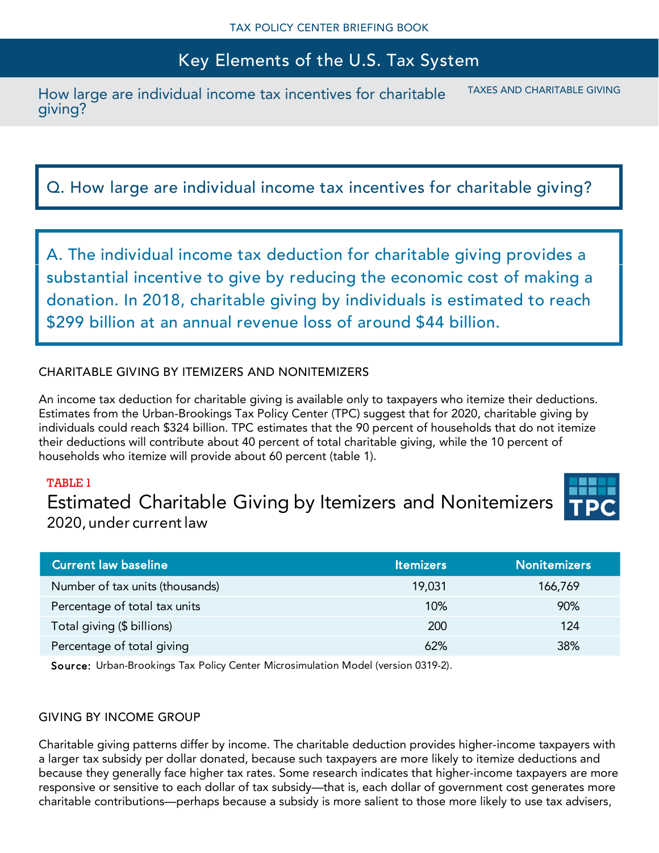How large are individual income tax incentives for charitable giving? TAXES AND CHARITABLE GIVING

Q. How large are individual income tax incentives for charitable giving?

A. The individual income tax deduction for charitable giving provides a substantial incentive to give by reducing the economic cost of making a donation. In 2018, charitable giving by individuals is estimated to reach \$299 billion at an annual revenue loss of around \$44 billion.

# CHARITABLE GIVING BY ITEMIZERS AND NONITEMIZERS

An income tax deduction for charitable giving is available only to taxpayers who itemize their deductions. Estimates from the Urban-Brookings Tax Policy Center (TPC) suggest that for 2020, charitable giving by individuals could reach \$324 billion. TPC estimates that the 90 percent of households that do not itemize their deductions will contribute about 40 percent of total charitable giving, while the 10 percent of households who itemize will provide about 60 percent (table 1).

# TABLE 1

Estimated Charitable Giving by Itemizers and Nonitemizers 2020, under current law

| <b>Current law baseline</b>     | <b>Itemizers</b> | <b>Nonitemizers</b> |
|---------------------------------|------------------|---------------------|
| Number of tax units (thousands) | 19,031           | 166,769             |
| Percentage of total tax units   | 10%              | 90%                 |
| Total giving (\$ billions)      | 200              | 124                 |
| Percentage of total giving      | 62%              | 38%                 |

Source: Urban-Brookings Tax Policy Center Microsimulation Model (version 0319-2).

# GIVING BY INCOME GROUP

Charitable giving patterns differ by income. The charitable deduction provides higher-income taxpayers with a larger tax subsidy per dollar donated, because such taxpayers are more likely to itemize deductions and because they generally face higher tax rates. Some research indicates that higher-income taxpayers are more responsive or sensitive to each dollar of tax subsidy—that is, each dollar of government cost generates more charitable contributions—perhaps because a subsidy is more salient to those more likely to use tax advisers,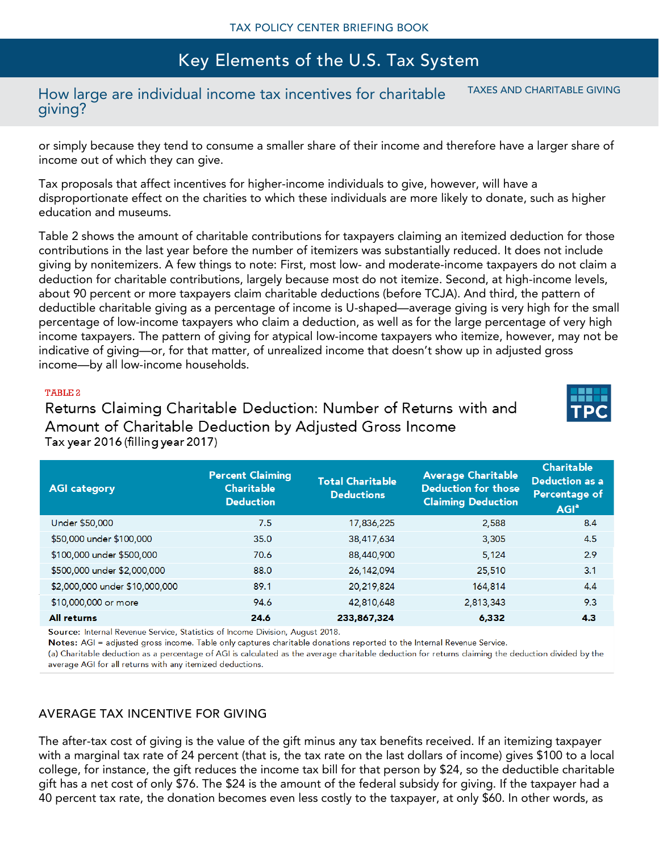#### How large are individual income tax incentives for charitable giving? TAXES AND CHARITABLE GIVING

or simply because they tend to consume a smaller share of their income and therefore have a larger share of income out of which they can give.

Tax proposals that affect incentives for higher-income individuals to give, however, will have a disproportionate effect on the charities to which these individuals are more likely to donate, such as higher education and museums.

Table 2 shows the amount of charitable contributions for taxpayers claiming an itemized deduction for those contributions in the last year before the number of itemizers was substantially reduced. It does not include giving by nonitemizers. A few things to note: First, most low- and moderate-income taxpayers do not claim a deduction for charitable contributions, largely because most do not itemize. Second, at high-income levels, about 90 percent or more taxpayers claim charitable deductions (before TCJA). And third, the pattern of deductible charitable giving as a percentage of income is U-shaped—average giving is very high for the small percentage of low-income taxpayers who claim a deduction, as well as for the large percentage of very high income taxpayers. The pattern of giving for atypical low-income taxpayers who itemize, however, may not be indicative of giving—or, for that matter, of unrealized income that doesn't show up in adjusted gross income—by all low-income households.

#### TABLE 2

Returns Claiming Charitable Deduction: Number of Returns with and Amount of Charitable Deduction by Adjusted Gross Income Tax year 2016 (filling year 2017)

| <b>AGI category</b>            | <b>Percent Claiming</b><br><b>Charitable</b><br><b>Deduction</b> | <b>Total Charitable</b><br><b>Deductions</b> | <b>Average Charitable</b><br><b>Deduction for those</b><br><b>Claiming Deduction</b> | <b>Charitable</b><br><b>Deduction as a</b><br>Percentage of<br>AGI <sup>a</sup> |
|--------------------------------|------------------------------------------------------------------|----------------------------------------------|--------------------------------------------------------------------------------------|---------------------------------------------------------------------------------|
| Under \$50,000                 | 7.5                                                              | 17,836,225                                   | 2,588                                                                                | 8.4                                                                             |
| \$50,000 under \$100,000       | 35.0                                                             | 38,417,634                                   | 3,305                                                                                | 4.5                                                                             |
| \$100,000 under \$500,000      | 70.6                                                             | 88,440,900                                   | 5,124                                                                                | 2.9                                                                             |
| \$500,000 under \$2,000,000    | 88.0                                                             | 26,142,094                                   | 25,510                                                                               | 3.1                                                                             |
| \$2,000,000 under \$10,000,000 | 89.1                                                             | 20,219,824                                   | 164,814                                                                              | 4.4                                                                             |
| \$10,000,000 or more           | 94.6                                                             | 42,810,648                                   | 2,813,343                                                                            | 9.3                                                                             |
| <b>All returns</b>             | 24.6                                                             | 233,867,324                                  | 6,332                                                                                | 4.3                                                                             |

Source: Internal Revenue Service, Statistics of Income Division, August 2018.

Notes: AGI = adjusted gross income. Table only captures charitable donations reported to the Internal Revenue Service.

(a) Charitable deduction as a percentage of AGI is calculated as the average charitable deduction for returns claiming the deduction divided by the average AGI for all returns with any itemized deductions.

## AVERAGE TAX INCENTIVE FOR GIVING

The after-tax cost of giving is the value of the gift minus any tax benefits received. If an itemizing taxpayer with a marginal tax rate of 24 percent (that is, the tax rate on the last dollars of income) gives \$100 to a local college, for instance, the gift reduces the income tax bill for that person by \$24, so the deductible charitable gift has a net cost of only \$76. The \$24 is the amount of the federal subsidy for giving. If the taxpayer had a 40 percent tax rate, the donation becomes even less costly to the taxpayer, at only \$60. In other words, as

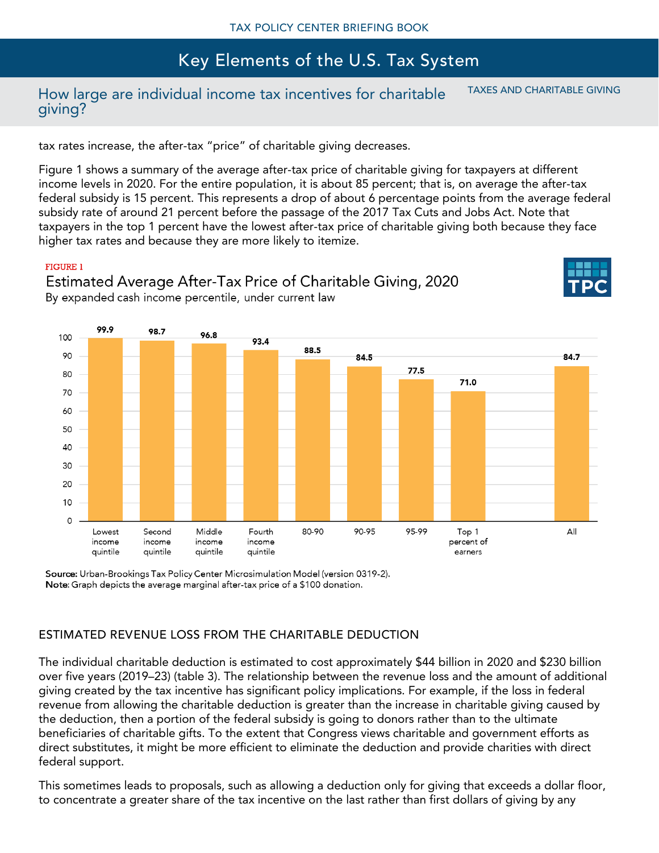# How large are individual income tax incentives for charitable giving?

TAXES AND CHARITABLE GIVING

tax rates increase, the after-tax "price" of charitable giving decreases.

Figure 1 shows a summary of the average after-tax price of charitable giving for taxpayers at different income levels in 2020. For the entire population, it is about 85 percent; that is, on average the after-tax federal subsidy is 15 percent. This represents a drop of about 6 percentage points from the average federal subsidy rate of around 21 percent before the passage of the 2017 Tax Cuts and Jobs Act. Note that taxpayers in the top 1 percent have the lowest after-tax price of charitable giving both because they face higher tax rates and because they are more likely to itemize.

#### **FIGURE 1**



Estimated Average After-Tax Price of Charitable Giving, 2020 By expanded cash income percentile, under current law

Source: Urban-Brookings Tax Policy Center Microsimulation Model (version 0319-2). Note: Graph depicts the average marginal after-tax price of a \$100 donation.

# ESTIMATED REVENUE LOSS FROM THE CHARITABLE DEDUCTION

The individual charitable deduction is estimated to cost approximately \$44 billion in 2020 and \$230 billion over five years (2019–23) (table 3). The relationship between the revenue loss and the amount of additional giving created by the tax incentive has significant policy implications. For example, if the loss in federal revenue from allowing the charitable deduction is greater than the increase in charitable giving caused by the deduction, then a portion of the federal subsidy is going to donors rather than to the ultimate beneficiaries of charitable gifts. To the extent that Congress views charitable and government efforts as direct substitutes, it might be more efficient to eliminate the deduction and provide charities with direct federal support.

This sometimes leads to proposals, such as allowing a deduction only for giving that exceeds a dollar floor, to concentrate a greater share of the tax incentive on the last rather than first dollars of giving by any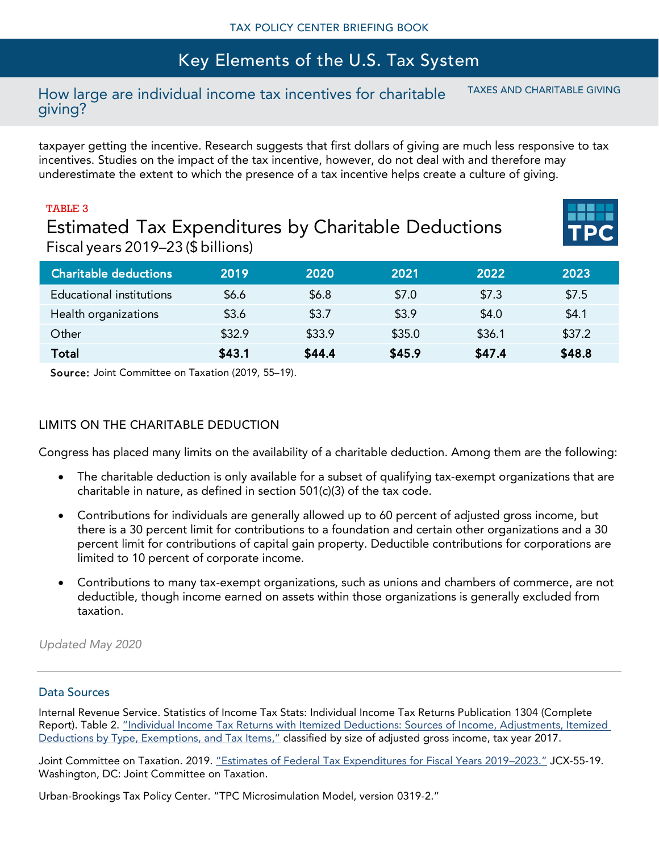#### How large are individual income tax incentives for charitable giving? TAXES AND CHARITABLE GIVING

taxpayer getting the incentive. Research suggests that first dollars of giving are much less responsive to tax incentives. Studies on the impact of the tax incentive, however, do not deal with and therefore may underestimate the extent to which the presence of a tax incentive helps create a culture of giving.

# TABLE 3 Estimated Tax Expenditures by Charitable Deductions Fiscal years 2019–23 (\$ billions)

| <b>Charitable deductions</b> | 2019   | 2020   | 2021   | 2022   | 2023   |
|------------------------------|--------|--------|--------|--------|--------|
| Educational institutions     | \$6.6  | \$6.8  | \$7.0  | \$7.3  | \$7.5  |
| Health organizations         | \$3.6  | \$3.7  | \$3.9  | \$4.0  | \$4.1  |
| Other                        | \$32.9 | \$33.9 | \$35.0 | \$36.1 | \$37.2 |
| Total                        | \$43.1 | \$44.4 | \$45.9 | \$47.4 | \$48.8 |

Source: Joint Committee on Taxation (2019, 55–19).

# LIMITS ON THE CHARITABLE DEDUCTION

Congress has placed many limits on the availability of a charitable deduction. Among them are the following:

- The charitable deduction is only available for a subset of qualifying tax-exempt organizations that are charitable in nature, as defined in section 501(c)(3) of the tax code.
- Contributions for individuals are generally allowed up to 60 percent of adjusted gross income, but there is a 30 percent limit for contributions to a foundation and certain other organizations and a 30 percent limit for contributions of capital gain property. Deductible contributions for corporations are limited to 10 percent of corporate income.
- Contributions to many tax-exempt organizations, such as unions and chambers of commerce, are not deductible, though income earned on assets within those organizations is generally excluded from taxation.

*Updated May 2020*

## Data Sources

Internal Revenue Service. Statistics of Income Tax Stats: Individual Income Tax Returns Publication 1304 (Complete Report). Table 2. "[Individual Income Tax Returns with Itemized Deductions: Sources of Income, Adjustments, Itemized](https://www.irs.gov/statistics/soi-tax-stats-individual-income-tax-returns-publication-1304-complete-report)  [Deductions by Type, Exemptions, and Tax Items](https://www.irs.gov/statistics/soi-tax-stats-individual-income-tax-returns-publication-1304-complete-report)," classified by size of adjusted gross income, tax year 2017.

Joint Committee on Taxation. 2019. "[Estimates of Federal Tax Expenditures for Fiscal Years 2019](https://www.jct.gov/publications.html?func=startdown&id=5238)–2023." JCX-55-19. Washington, DC: Joint Committee on Taxation.

Urban-Brookings Tax Policy Center. "TPC Microsimulation Model, version 0319-2."